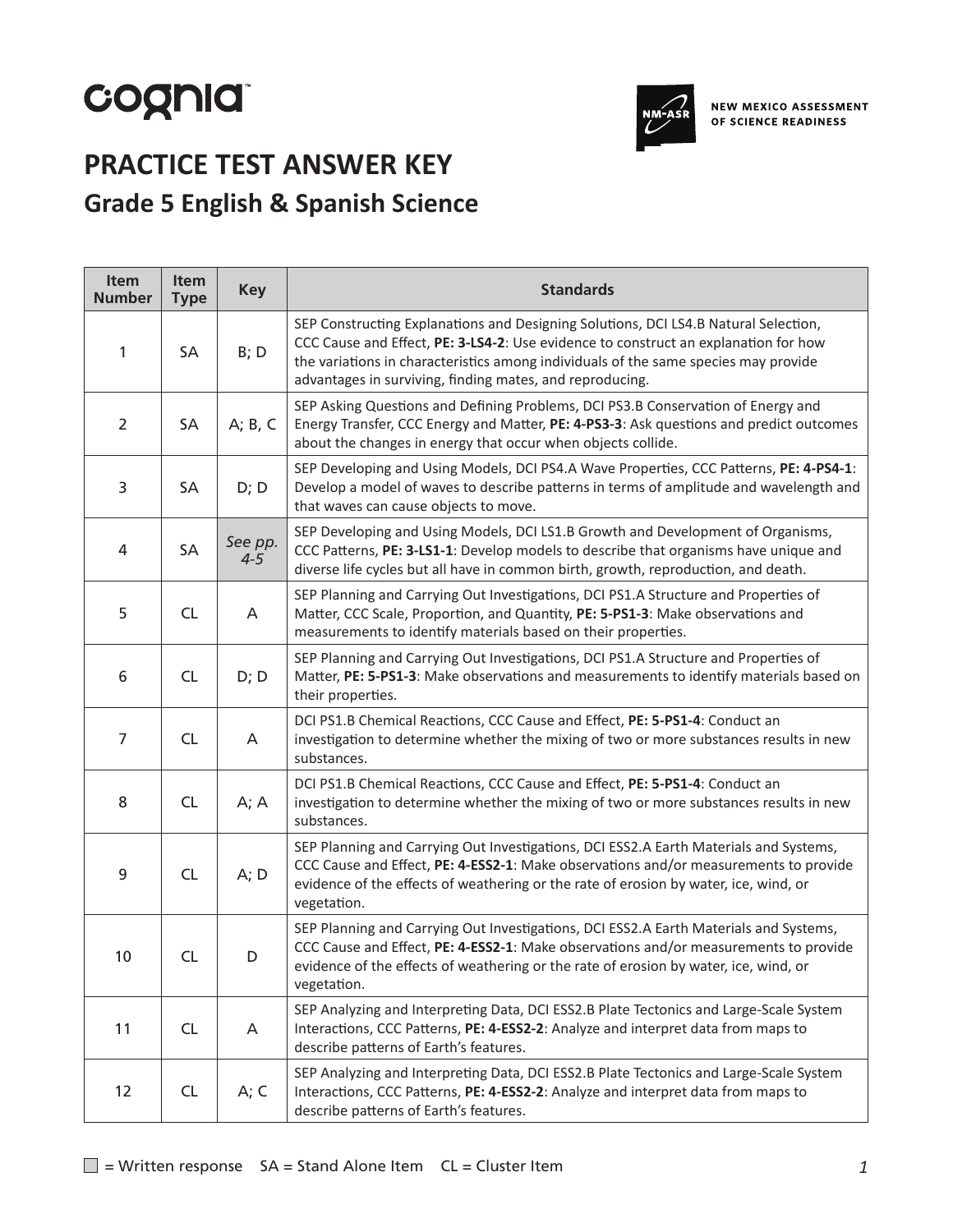# cognia



# **PRACTICE TEST ANSWER KEY Grade 5 English & Spanish Science**

| Item<br><b>Number</b> | <b>Item</b><br><b>Type</b> | <b>Key</b>         | <b>Standards</b>                                                                                                                                                                                                                                                                                                              |
|-----------------------|----------------------------|--------------------|-------------------------------------------------------------------------------------------------------------------------------------------------------------------------------------------------------------------------------------------------------------------------------------------------------------------------------|
| $\mathbf{1}$          | SA                         | B; D               | SEP Constructing Explanations and Designing Solutions, DCI LS4.B Natural Selection,<br>CCC Cause and Effect, PE: 3-LS4-2: Use evidence to construct an explanation for how<br>the variations in characteristics among individuals of the same species may provide<br>advantages in surviving, finding mates, and reproducing. |
| $\overline{2}$        | SA                         | A; B, C            | SEP Asking Questions and Defining Problems, DCI PS3.B Conservation of Energy and<br>Energy Transfer, CCC Energy and Matter, PE: 4-PS3-3: Ask questions and predict outcomes<br>about the changes in energy that occur when objects collide.                                                                                   |
| 3                     | SA                         | D; D               | SEP Developing and Using Models, DCI PS4.A Wave Properties, CCC Patterns, PE: 4-PS4-1:<br>Develop a model of waves to describe patterns in terms of amplitude and wavelength and<br>that waves can cause objects to move.                                                                                                     |
| 4                     | SA                         | See pp.<br>$4 - 5$ | SEP Developing and Using Models, DCI LS1.B Growth and Development of Organisms,<br>CCC Patterns, PE: 3-LS1-1: Develop models to describe that organisms have unique and<br>diverse life cycles but all have in common birth, growth, reproduction, and death.                                                                 |
| 5                     | <b>CL</b>                  | Α                  | SEP Planning and Carrying Out Investigations, DCI PS1.A Structure and Properties of<br>Matter, CCC Scale, Proportion, and Quantity, PE: 5-PS1-3: Make observations and<br>measurements to identify materials based on their properties.                                                                                       |
| 6                     | <b>CL</b>                  | D; D               | SEP Planning and Carrying Out Investigations, DCI PS1.A Structure and Properties of<br>Matter, PE: 5-PS1-3: Make observations and measurements to identify materials based on<br>their properties.                                                                                                                            |
| 7                     | <b>CL</b>                  | A                  | DCI PS1.B Chemical Reactions, CCC Cause and Effect, PE: 5-PS1-4: Conduct an<br>investigation to determine whether the mixing of two or more substances results in new<br>substances.                                                                                                                                          |
| 8                     | <b>CL</b>                  | A; A               | DCI PS1.B Chemical Reactions, CCC Cause and Effect, PE: 5-PS1-4: Conduct an<br>investigation to determine whether the mixing of two or more substances results in new<br>substances.                                                                                                                                          |
| 9                     | <b>CL</b>                  | A; D               | SEP Planning and Carrying Out Investigations, DCI ESS2.A Earth Materials and Systems,<br>CCC Cause and Effect, PE: 4-ESS2-1: Make observations and/or measurements to provide<br>evidence of the effects of weathering or the rate of erosion by water, ice, wind, or<br>vegetation.                                          |
| 10                    | <b>CL</b>                  | D                  | SEP Planning and Carrying Out Investigations, DCI ESS2.A Earth Materials and Systems,<br>CCC Cause and Effect, PE: 4-ESS2-1: Make observations and/or measurements to provide<br>evidence of the effects of weathering or the rate of erosion by water, ice, wind, or<br>vegetation.                                          |
| 11                    | CL                         | A                  | SEP Analyzing and Interpreting Data, DCI ESS2.B Plate Tectonics and Large-Scale System<br>Interactions, CCC Patterns, PE: 4-ESS2-2: Analyze and interpret data from maps to<br>describe patterns of Earth's features.                                                                                                         |
| 12                    | <b>CL</b>                  | A; C               | SEP Analyzing and Interpreting Data, DCI ESS2.B Plate Tectonics and Large-Scale System<br>Interactions, CCC Patterns, PE: 4-ESS2-2: Analyze and interpret data from maps to<br>describe patterns of Earth's features.                                                                                                         |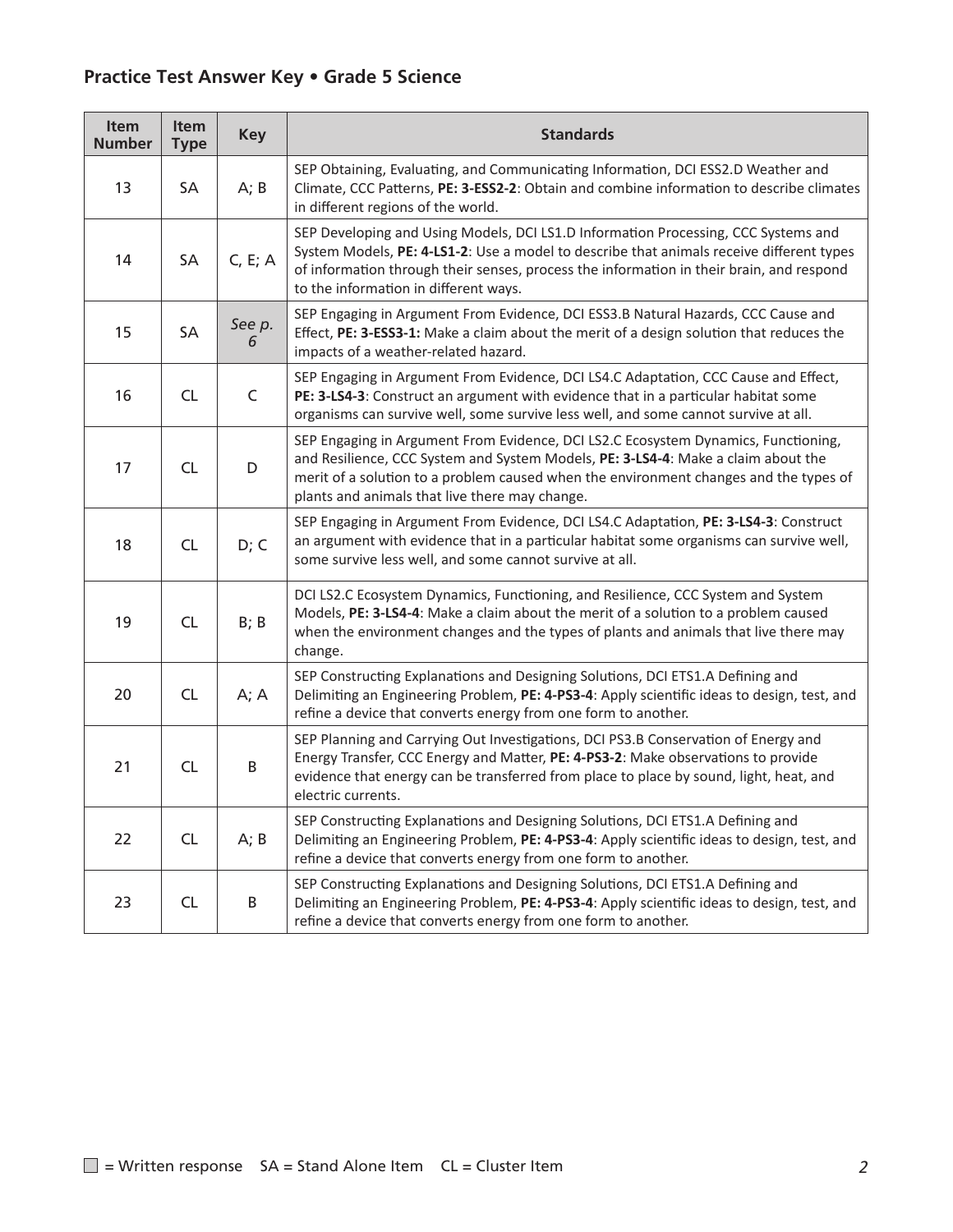| Item<br><b>Number</b> | Item<br><b>Type</b> | <b>Key</b>  | <b>Standards</b>                                                                                                                                                                                                                                                                                                    |
|-----------------------|---------------------|-------------|---------------------------------------------------------------------------------------------------------------------------------------------------------------------------------------------------------------------------------------------------------------------------------------------------------------------|
| 13                    | SA                  | A; B        | SEP Obtaining, Evaluating, and Communicating Information, DCI ESS2.D Weather and<br>Climate, CCC Patterns, PE: 3-ESS2-2: Obtain and combine information to describe climates<br>in different regions of the world.                                                                                                  |
| 14                    | SA                  | C, E; A     | SEP Developing and Using Models, DCI LS1.D Information Processing, CCC Systems and<br>System Models, PE: 4-LS1-2: Use a model to describe that animals receive different types<br>of information through their senses, process the information in their brain, and respond<br>to the information in different ways. |
| 15                    | SA                  | See p.<br>6 | SEP Engaging in Argument From Evidence, DCI ESS3.B Natural Hazards, CCC Cause and<br>Effect, PE: 3-ESS3-1: Make a claim about the merit of a design solution that reduces the<br>impacts of a weather-related hazard.                                                                                               |
| 16                    | <b>CL</b>           | $\mathsf C$ | SEP Engaging in Argument From Evidence, DCI LS4.C Adaptation, CCC Cause and Effect,<br>PE: 3-LS4-3: Construct an argument with evidence that in a particular habitat some<br>organisms can survive well, some survive less well, and some cannot survive at all.                                                    |
| 17                    | <b>CL</b>           | D           | SEP Engaging in Argument From Evidence, DCI LS2.C Ecosystem Dynamics, Functioning,<br>and Resilience, CCC System and System Models, PE: 3-LS4-4: Make a claim about the<br>merit of a solution to a problem caused when the environment changes and the types of<br>plants and animals that live there may change.  |
| 18                    | <b>CL</b>           | D; C        | SEP Engaging in Argument From Evidence, DCI LS4.C Adaptation, PE: 3-LS4-3: Construct<br>an argument with evidence that in a particular habitat some organisms can survive well,<br>some survive less well, and some cannot survive at all.                                                                          |
| 19                    | CL                  | B; B        | DCI LS2.C Ecosystem Dynamics, Functioning, and Resilience, CCC System and System<br>Models, PE: 3-LS4-4: Make a claim about the merit of a solution to a problem caused<br>when the environment changes and the types of plants and animals that live there may<br>change.                                          |
| 20                    | <b>CL</b>           | A; A        | SEP Constructing Explanations and Designing Solutions, DCI ETS1.A Defining and<br>Delimiting an Engineering Problem, PE: 4-PS3-4: Apply scientific ideas to design, test, and<br>refine a device that converts energy from one form to another.                                                                     |
| 21                    | CL                  | B           | SEP Planning and Carrying Out Investigations, DCI PS3.B Conservation of Energy and<br>Energy Transfer, CCC Energy and Matter, PE: 4-PS3-2: Make observations to provide<br>evidence that energy can be transferred from place to place by sound, light, heat, and<br>electric currents.                             |
| 22                    | <b>CL</b>           | A; B        | SEP Constructing Explanations and Designing Solutions, DCI ETS1.A Defining and<br>Delimiting an Engineering Problem, PE: 4-PS3-4: Apply scientific ideas to design, test, and<br>refine a device that converts energy from one form to another.                                                                     |
| 23                    | <b>CL</b>           | B           | SEP Constructing Explanations and Designing Solutions, DCI ETS1.A Defining and<br>Delimiting an Engineering Problem, PE: 4-PS3-4: Apply scientific ideas to design, test, and<br>refine a device that converts energy from one form to another.                                                                     |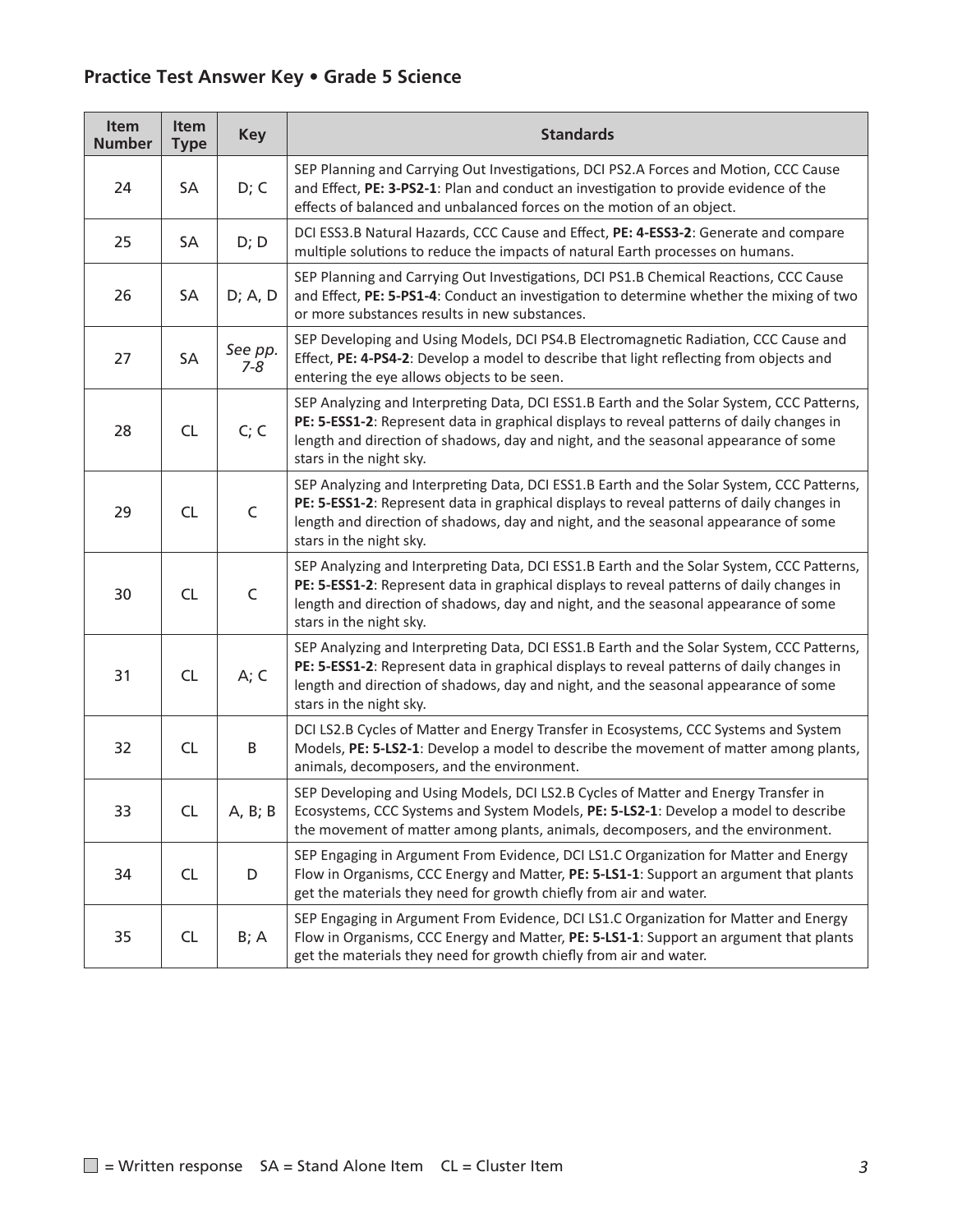| Item<br><b>Number</b> | Item<br><b>Type</b> | <b>Key</b>         | <b>Standards</b>                                                                                                                                                                                                                                                                                         |
|-----------------------|---------------------|--------------------|----------------------------------------------------------------------------------------------------------------------------------------------------------------------------------------------------------------------------------------------------------------------------------------------------------|
| 24                    | SA                  | D; C               | SEP Planning and Carrying Out Investigations, DCI PS2.A Forces and Motion, CCC Cause<br>and Effect, PE: 3-PS2-1: Plan and conduct an investigation to provide evidence of the<br>effects of balanced and unbalanced forces on the motion of an object.                                                   |
| 25                    | SA                  | D; D               | DCI ESS3.B Natural Hazards, CCC Cause and Effect, PE: 4-ESS3-2: Generate and compare<br>multiple solutions to reduce the impacts of natural Earth processes on humans.                                                                                                                                   |
| 26                    | SA                  | D; A, D            | SEP Planning and Carrying Out Investigations, DCI PS1.B Chemical Reactions, CCC Cause<br>and Effect, PE: 5-PS1-4: Conduct an investigation to determine whether the mixing of two<br>or more substances results in new substances.                                                                       |
| 27                    | SA                  | See pp.<br>$7 - 8$ | SEP Developing and Using Models, DCI PS4.B Electromagnetic Radiation, CCC Cause and<br>Effect, PE: 4-PS4-2: Develop a model to describe that light reflecting from objects and<br>entering the eye allows objects to be seen.                                                                            |
| 28                    | CL                  | C; C               | SEP Analyzing and Interpreting Data, DCI ESS1.B Earth and the Solar System, CCC Patterns,<br>PE: 5-ESS1-2: Represent data in graphical displays to reveal patterns of daily changes in<br>length and direction of shadows, day and night, and the seasonal appearance of some<br>stars in the night sky. |
| 29                    | <b>CL</b>           | $\mathsf C$        | SEP Analyzing and Interpreting Data, DCI ESS1.B Earth and the Solar System, CCC Patterns,<br>PE: 5-ESS1-2: Represent data in graphical displays to reveal patterns of daily changes in<br>length and direction of shadows, day and night, and the seasonal appearance of some<br>stars in the night sky. |
| 30                    | <b>CL</b>           | $\mathsf C$        | SEP Analyzing and Interpreting Data, DCI ESS1.B Earth and the Solar System, CCC Patterns,<br>PE: 5-ESS1-2: Represent data in graphical displays to reveal patterns of daily changes in<br>length and direction of shadows, day and night, and the seasonal appearance of some<br>stars in the night sky. |
| 31                    | <b>CL</b>           | A; C               | SEP Analyzing and Interpreting Data, DCI ESS1.B Earth and the Solar System, CCC Patterns,<br>PE: 5-ESS1-2: Represent data in graphical displays to reveal patterns of daily changes in<br>length and direction of shadows, day and night, and the seasonal appearance of some<br>stars in the night sky. |
| 32                    | <b>CL</b>           | B                  | DCI LS2.B Cycles of Matter and Energy Transfer in Ecosystems, CCC Systems and System<br>Models, PE: 5-LS2-1: Develop a model to describe the movement of matter among plants,<br>animals, decomposers, and the environment.                                                                              |
| 33                    | CL                  | A, B; B            | SEP Developing and Using Models, DCI LS2.B Cycles of Matter and Energy Transfer in<br>Ecosystems, CCC Systems and System Models, PE: 5-LS2-1: Develop a model to describe<br>the movement of matter among plants, animals, decomposers, and the environment.                                             |
| 34                    | CL                  | D                  | SEP Engaging in Argument From Evidence, DCI LS1.C Organization for Matter and Energy<br>Flow in Organisms, CCC Energy and Matter, PE: 5-LS1-1: Support an argument that plants<br>get the materials they need for growth chiefly from air and water.                                                     |
| 35                    | <b>CL</b>           | B; A               | SEP Engaging in Argument From Evidence, DCI LS1.C Organization for Matter and Energy<br>Flow in Organisms, CCC Energy and Matter, PE: 5-LS1-1: Support an argument that plants<br>get the materials they need for growth chiefly from air and water.                                                     |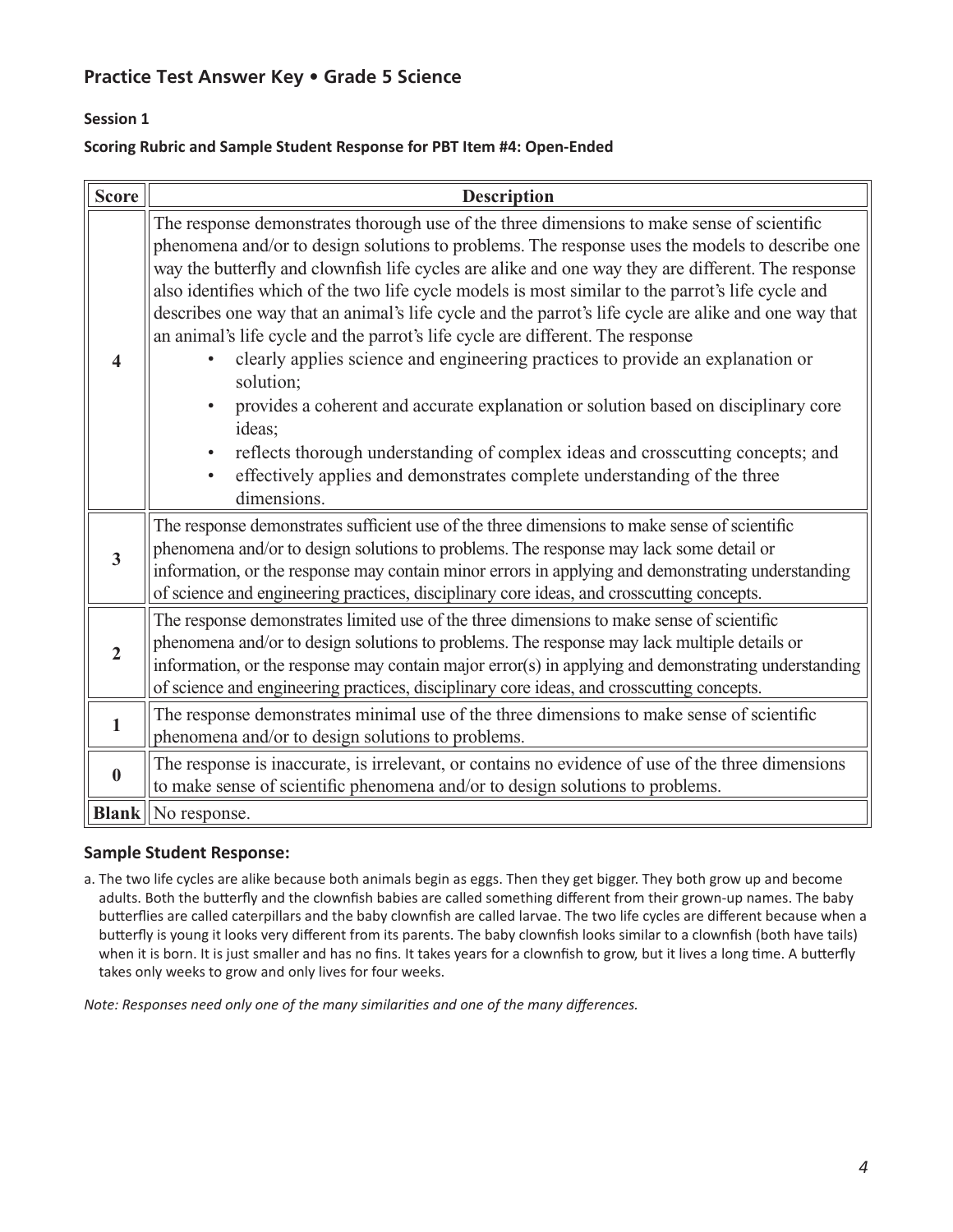# **Session 1**

#### **Scoring Rubric and Sample Student Response for PBT Item #4: Open-Ended**

| <b>Score</b>            | <b>Description</b>                                                                                                                                                                                                                                                                                                                                                                                                                                                                                                                                                                                                                                                                                                                                                                                                                                                                                                                                                                           |
|-------------------------|----------------------------------------------------------------------------------------------------------------------------------------------------------------------------------------------------------------------------------------------------------------------------------------------------------------------------------------------------------------------------------------------------------------------------------------------------------------------------------------------------------------------------------------------------------------------------------------------------------------------------------------------------------------------------------------------------------------------------------------------------------------------------------------------------------------------------------------------------------------------------------------------------------------------------------------------------------------------------------------------|
| $\overline{\mathbf{4}}$ | The response demonstrates thorough use of the three dimensions to make sense of scientific<br>phenomena and/or to design solutions to problems. The response uses the models to describe one<br>way the butterfly and clownfish life cycles are alike and one way they are different. The response<br>also identifies which of the two life cycle models is most similar to the parrot's life cycle and<br>describes one way that an animal's life cycle and the parrot's life cycle are alike and one way that<br>an animal's life cycle and the parrot's life cycle are different. The response<br>clearly applies science and engineering practices to provide an explanation or<br>solution;<br>provides a coherent and accurate explanation or solution based on disciplinary core<br>ideas;<br>reflects thorough understanding of complex ideas and crosscutting concepts; and<br>effectively applies and demonstrates complete understanding of the three<br>$\bullet$<br>dimensions. |
| $\overline{3}$          | The response demonstrates sufficient use of the three dimensions to make sense of scientific<br>phenomena and/or to design solutions to problems. The response may lack some detail or<br>information, or the response may contain minor errors in applying and demonstrating understanding<br>of science and engineering practices, disciplinary core ideas, and crosscutting concepts.                                                                                                                                                                                                                                                                                                                                                                                                                                                                                                                                                                                                     |
| $\overline{2}$          | The response demonstrates limited use of the three dimensions to make sense of scientific<br>phenomena and/or to design solutions to problems. The response may lack multiple details or<br>information, or the response may contain major error(s) in applying and demonstrating understanding<br>of science and engineering practices, disciplinary core ideas, and crosscutting concepts.                                                                                                                                                                                                                                                                                                                                                                                                                                                                                                                                                                                                 |
| $\mathbf{1}$            | The response demonstrates minimal use of the three dimensions to make sense of scientific<br>phenomena and/or to design solutions to problems.                                                                                                                                                                                                                                                                                                                                                                                                                                                                                                                                                                                                                                                                                                                                                                                                                                               |
| $\bf{0}$                | The response is inaccurate, is irrelevant, or contains no evidence of use of the three dimensions<br>to make sense of scientific phenomena and/or to design solutions to problems.                                                                                                                                                                                                                                                                                                                                                                                                                                                                                                                                                                                                                                                                                                                                                                                                           |
|                         | <b>Blank</b>   No response.                                                                                                                                                                                                                                                                                                                                                                                                                                                                                                                                                                                                                                                                                                                                                                                                                                                                                                                                                                  |

### **Sample Student Response:**

a. The two life cycles are alike because both animals begin as eggs. Then they get bigger. They both grow up and become adults. Both the butterfly and the clownfish babies are called something different from their grown-up names. The baby butterflies are called caterpillars and the baby clownfish are called larvae. The two life cycles are different because when a butterfly is young it looks very different from its parents. The baby clownfish looks similar to a clownfish (both have tails) when it is born. It is just smaller and has no fins. It takes years for a clownfish to grow, but it lives a long time. A butterfly takes only weeks to grow and only lives for four weeks.

*Note: Responses need only one of the many similarities and one of the many differences.*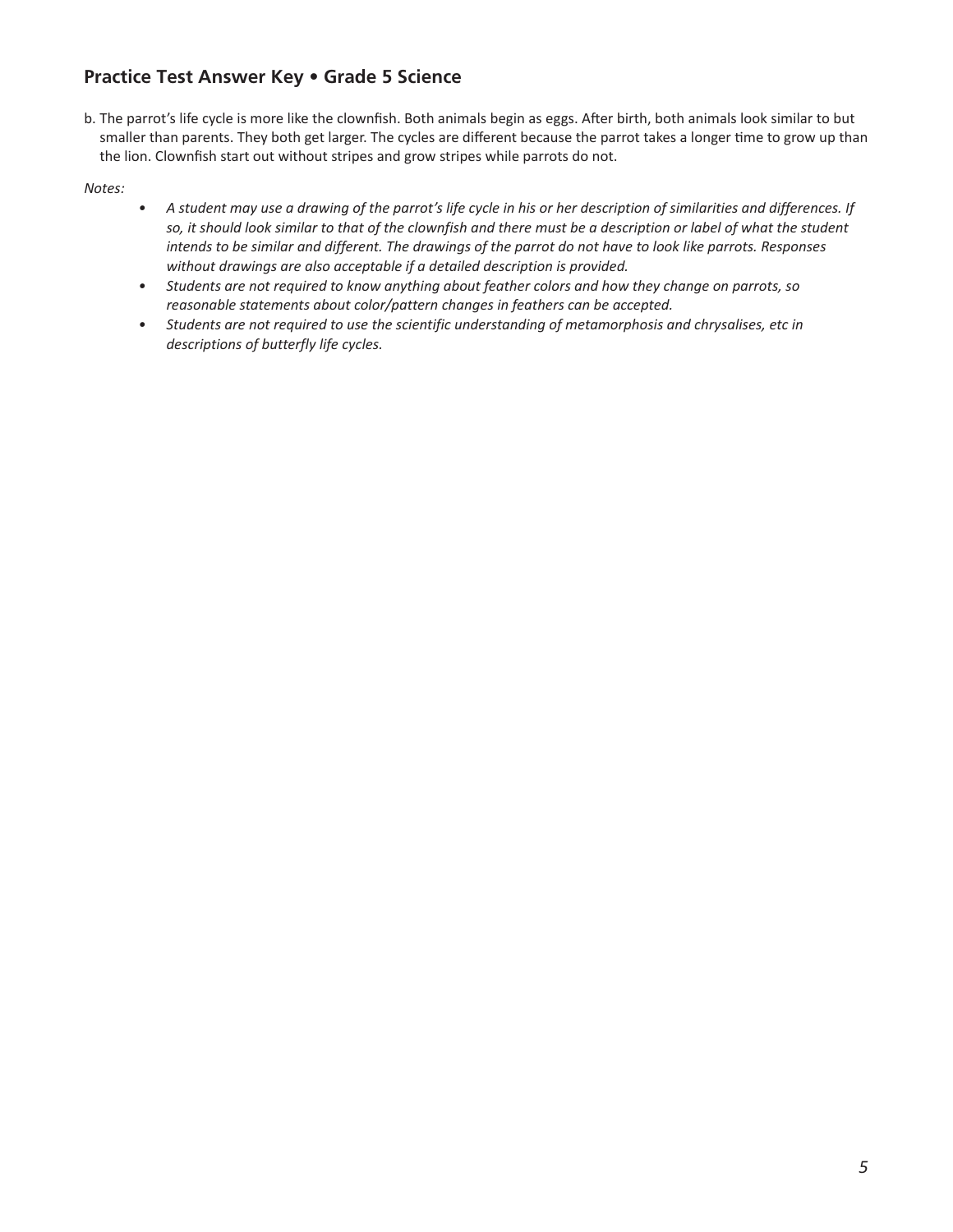b. The parrot's life cycle is more like the clownfish. Both animals begin as eggs. After birth, both animals look similar to but smaller than parents. They both get larger. The cycles are different because the parrot takes a longer time to grow up than the lion. Clownfish start out without stripes and grow stripes while parrots do not.

*Notes:* 

- *• A student may use a drawing of the parrot's life cycle in his or her description of similarities and differences. If*  so, it should look similar to that of the clownfish and there must be a description or label of what the student *intends to be similar and different. The drawings of the parrot do not have to look like parrots. Responses without drawings are also acceptable if a detailed description is provided.*
- *• Students are not required to know anything about feather colors and how they change on parrots, so reasonable statements about color/pattern changes in feathers can be accepted.*
- *• Students are not required to use the scientific understanding of metamorphosis and chrysalises, etc in descriptions of butterfly life cycles.*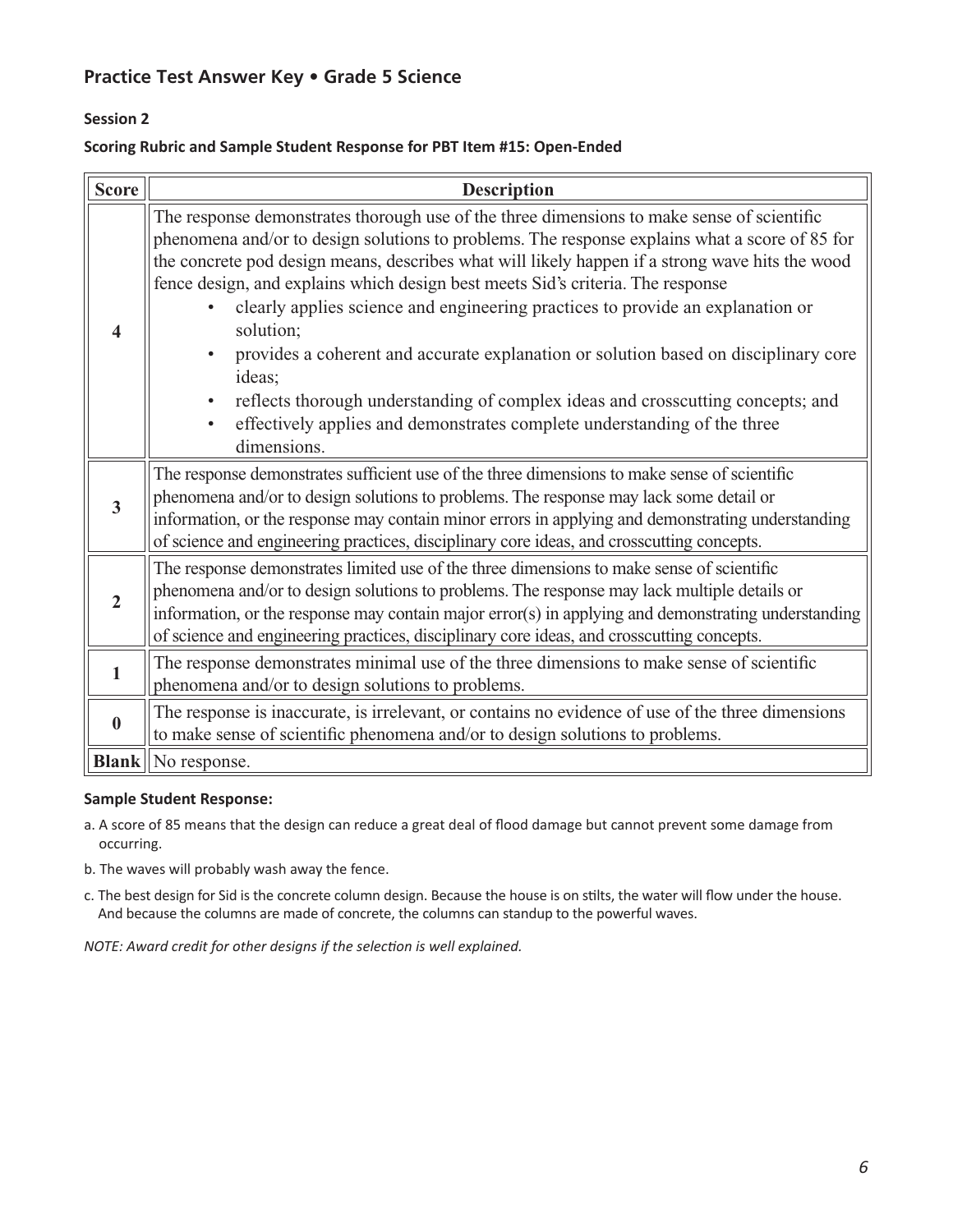# **Session 2**

#### **Scoring Rubric and Sample Student Response for PBT Item #15: Open-Ended**

| <b>Score</b>            | <b>Description</b>                                                                                                                                                                                                                                                                                                                                                                                                                                                                                                                                                                                                                                                                                                                                                                         |  |  |  |
|-------------------------|--------------------------------------------------------------------------------------------------------------------------------------------------------------------------------------------------------------------------------------------------------------------------------------------------------------------------------------------------------------------------------------------------------------------------------------------------------------------------------------------------------------------------------------------------------------------------------------------------------------------------------------------------------------------------------------------------------------------------------------------------------------------------------------------|--|--|--|
| $\overline{\mathbf{4}}$ | The response demonstrates thorough use of the three dimensions to make sense of scientific<br>phenomena and/or to design solutions to problems. The response explains what a score of 85 for<br>the concrete pod design means, describes what will likely happen if a strong wave hits the wood<br>fence design, and explains which design best meets Sid's criteria. The response<br>clearly applies science and engineering practices to provide an explanation or<br>solution;<br>provides a coherent and accurate explanation or solution based on disciplinary core<br>ideas;<br>reflects thorough understanding of complex ideas and crosscutting concepts; and<br>$\bullet$<br>effectively applies and demonstrates complete understanding of the three<br>$\bullet$<br>dimensions. |  |  |  |
| $\overline{\mathbf{3}}$ | The response demonstrates sufficient use of the three dimensions to make sense of scientific<br>phenomena and/or to design solutions to problems. The response may lack some detail or<br>information, or the response may contain minor errors in applying and demonstrating understanding<br>of science and engineering practices, disciplinary core ideas, and crosscutting concepts.                                                                                                                                                                                                                                                                                                                                                                                                   |  |  |  |
| $\overline{2}$          | The response demonstrates limited use of the three dimensions to make sense of scientific<br>phenomena and/or to design solutions to problems. The response may lack multiple details or<br>information, or the response may contain major error(s) in applying and demonstrating understanding<br>of science and engineering practices, disciplinary core ideas, and crosscutting concepts.                                                                                                                                                                                                                                                                                                                                                                                               |  |  |  |
| $\mathbf{1}$            | The response demonstrates minimal use of the three dimensions to make sense of scientific<br>phenomena and/or to design solutions to problems.                                                                                                                                                                                                                                                                                                                                                                                                                                                                                                                                                                                                                                             |  |  |  |
| $\boldsymbol{0}$        | The response is inaccurate, is irrelevant, or contains no evidence of use of the three dimensions<br>to make sense of scientific phenomena and/or to design solutions to problems.                                                                                                                                                                                                                                                                                                                                                                                                                                                                                                                                                                                                         |  |  |  |
|                         | <b>Blank</b> No response.                                                                                                                                                                                                                                                                                                                                                                                                                                                                                                                                                                                                                                                                                                                                                                  |  |  |  |

#### **Sample Student Response:**

a. A score of 85 means that the design can reduce a great deal of flood damage but cannot prevent some damage from occurring.

- b. The waves will probably wash away the fence.
- c. The best design for Sid is the concrete column design. Because the house is on stilts, the water will flow under the house. And because the columns are made of concrete, the columns can standup to the powerful waves.

*NOTE: Award credit for other designs if the selection is well explained.*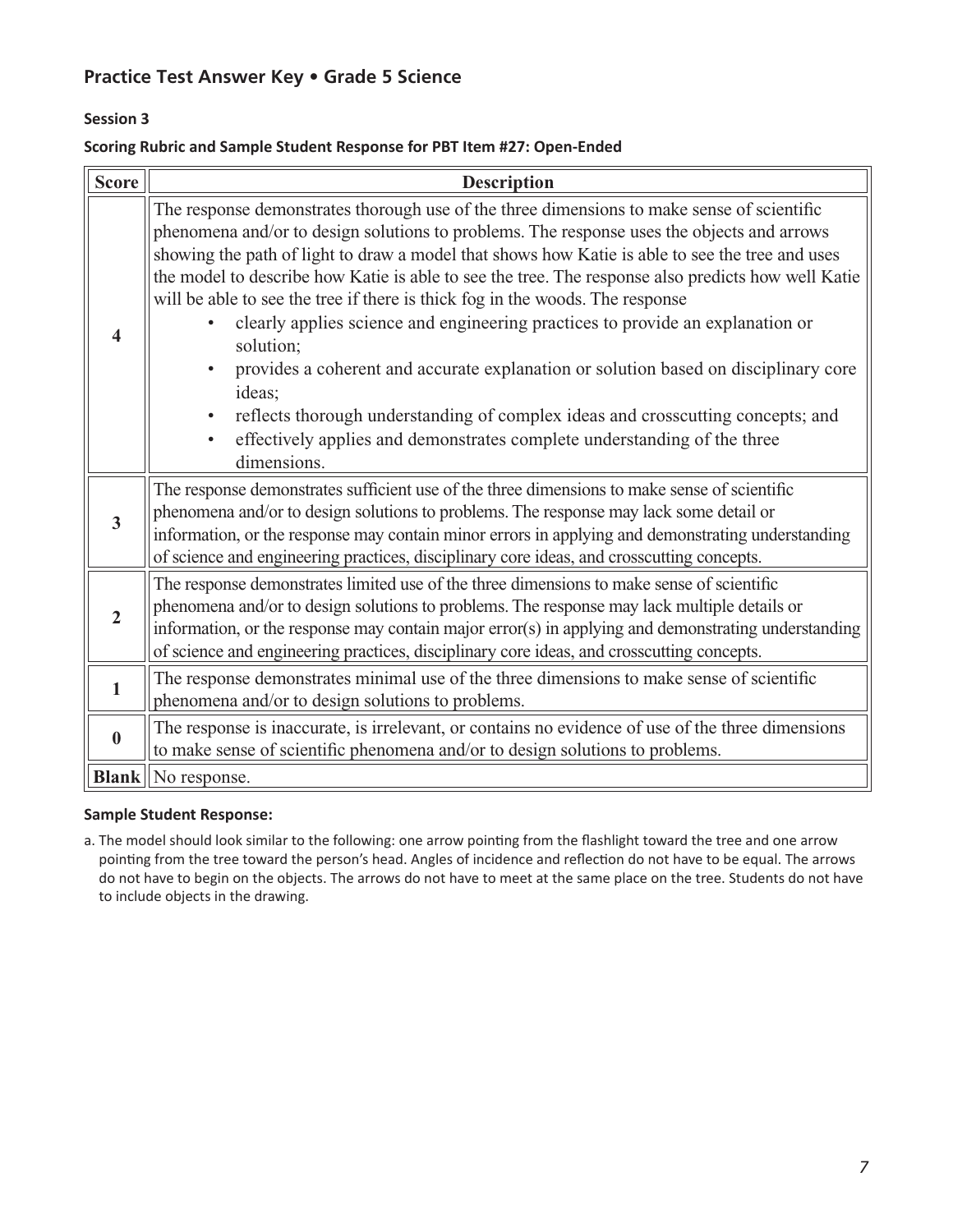### **Session 3**

#### **Scoring Rubric and Sample Student Response for PBT Item #27: Open-Ended**

| <b>Score</b>            | <b>Description</b>                                                                                                                                                                                                                                                                                                                                                                                                                                                                                                                                                                                                                                                                                                                                                                                                                                                            |  |  |  |  |
|-------------------------|-------------------------------------------------------------------------------------------------------------------------------------------------------------------------------------------------------------------------------------------------------------------------------------------------------------------------------------------------------------------------------------------------------------------------------------------------------------------------------------------------------------------------------------------------------------------------------------------------------------------------------------------------------------------------------------------------------------------------------------------------------------------------------------------------------------------------------------------------------------------------------|--|--|--|--|
| $\overline{\mathbf{4}}$ | The response demonstrates thorough use of the three dimensions to make sense of scientific<br>phenomena and/or to design solutions to problems. The response uses the objects and arrows<br>showing the path of light to draw a model that shows how Katie is able to see the tree and uses<br>the model to describe how Katie is able to see the tree. The response also predicts how well Katie<br>will be able to see the tree if there is thick fog in the woods. The response<br>clearly applies science and engineering practices to provide an explanation or<br>solution;<br>provides a coherent and accurate explanation or solution based on disciplinary core<br>ideas;<br>reflects thorough understanding of complex ideas and crosscutting concepts; and<br>effectively applies and demonstrates complete understanding of the three<br>$\bullet$<br>dimensions. |  |  |  |  |
| $\overline{3}$          | The response demonstrates sufficient use of the three dimensions to make sense of scientific<br>phenomena and/or to design solutions to problems. The response may lack some detail or<br>information, or the response may contain minor errors in applying and demonstrating understanding<br>of science and engineering practices, disciplinary core ideas, and crosscutting concepts.                                                                                                                                                                                                                                                                                                                                                                                                                                                                                      |  |  |  |  |
| $\overline{2}$          | The response demonstrates limited use of the three dimensions to make sense of scientific<br>phenomena and/or to design solutions to problems. The response may lack multiple details or<br>information, or the response may contain major error(s) in applying and demonstrating understanding<br>of science and engineering practices, disciplinary core ideas, and crosscutting concepts.                                                                                                                                                                                                                                                                                                                                                                                                                                                                                  |  |  |  |  |
| 1                       | The response demonstrates minimal use of the three dimensions to make sense of scientific<br>phenomena and/or to design solutions to problems.                                                                                                                                                                                                                                                                                                                                                                                                                                                                                                                                                                                                                                                                                                                                |  |  |  |  |
| $\bf{0}$                | The response is inaccurate, is irrelevant, or contains no evidence of use of the three dimensions<br>to make sense of scientific phenomena and/or to design solutions to problems.                                                                                                                                                                                                                                                                                                                                                                                                                                                                                                                                                                                                                                                                                            |  |  |  |  |
|                         | <b>Blank</b>   No response.                                                                                                                                                                                                                                                                                                                                                                                                                                                                                                                                                                                                                                                                                                                                                                                                                                                   |  |  |  |  |

#### **Sample Student Response:**

a. The model should look similar to the following: one arrow pointing from the flashlight toward the tree and one arrow pointing from the tree toward the person's head. Angles of incidence and reflection do not have to be equal. The arrows do not have to begin on the objects. The arrows do not have to meet at the same place on the tree. Students do not have to include objects in the drawing.